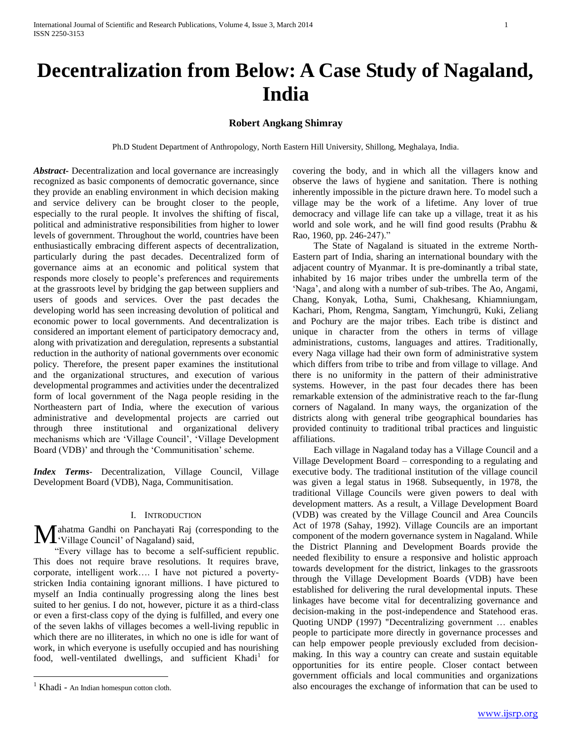# **Decentralization from Below: A Case Study of Nagaland, India**

# **Robert Angkang Shimray**

Ph.D Student Department of Anthropology, North Eastern Hill University, Shillong, Meghalaya, India.

*Abstract***-** Decentralization and local governance are increasingly recognized as basic components of democratic governance, since they provide an enabling environment in which decision making and service delivery can be brought closer to the people, especially to the rural people. It involves the shifting of fiscal, political and administrative responsibilities from higher to lower levels of government. Throughout the world, countries have been enthusiastically embracing different aspects of decentralization, particularly during the past decades. Decentralized form of governance aims at an economic and political system that responds more closely to people"s preferences and requirements at the grassroots level by bridging the gap between suppliers and users of goods and services. Over the past decades the developing world has seen increasing devolution of political and economic power to local governments. And decentralization is considered an important element of participatory democracy and, along with privatization and deregulation, represents a substantial reduction in the authority of national governments over economic policy. Therefore, the present paper examines the institutional and the organizational structures, and execution of various developmental programmes and activities under the decentralized form of local government of the Naga people residing in the Northeastern part of India, where the execution of various administrative and developmental projects are carried out through three institutional and organizational delivery mechanisms which are "Village Council", "Village Development Board (VDB)' and through the 'Communitisation' scheme.

*Index Terms*- Decentralization, Village Council, Village Development Board (VDB), Naga, Communitisation.

#### I. INTRODUCTION

Mahatma Gandhi on Panchayati Raj (corresponding to the 'Village Council' of Nagaland) said, Village Council' of Nagaland) said,

 "Every village has to become a self-sufficient republic. This does not require brave resolutions. It requires brave, corporate, intelligent work…. I have not pictured a povertystricken India containing ignorant millions. I have pictured to myself an India continually progressing along the lines best suited to her genius. I do not, however, picture it as a third-class or even a first-class copy of the dying is fulfilled, and every one of the seven lakhs of villages becomes a well-living republic in which there are no illiterates, in which no one is idle for want of work, in which everyone is usefully occupied and has nourishing food, well-ventilated dwellings, and sufficient Khadi<sup>1</sup> for

 $\overline{a}$ 

covering the body, and in which all the villagers know and observe the laws of hygiene and sanitation. There is nothing inherently impossible in the picture drawn here. To model such a village may be the work of a lifetime. Any lover of true democracy and village life can take up a village, treat it as his world and sole work, and he will find good results (Prabhu & Rao, 1960, pp. 246-247)."

 The State of Nagaland is situated in the extreme North-Eastern part of India, sharing an international boundary with the adjacent country of Myanmar. It is pre-dominantly a tribal state, inhabited by 16 major tribes under the umbrella term of the "Naga", and along with a number of sub-tribes. The Ao, Angami, Chang, Konyak, Lotha, Sumi, Chakhesang, Khiamniungam, Kachari, Phom, Rengma, Sangtam, Yimchungrü, Kuki, Zeliang and Pochury are the major tribes. Each tribe is distinct and unique in character from the others in terms of village administrations, customs, languages and attires. Traditionally, every Naga village had their own form of administrative system which differs from tribe to tribe and from village to village. And there is no uniformity in the pattern of their administrative systems. However, in the past four decades there has been remarkable extension of the administrative reach to the far-flung corners of Nagaland. In many ways, the organization of the districts along with general tribe geographical boundaries has provided continuity to traditional tribal practices and linguistic affiliations.

 Each village in Nagaland today has a Village Council and a Village Development Board – corresponding to a regulating and executive body. The traditional institution of the village council was given a legal status in 1968. Subsequently, in 1978, the traditional Village Councils were given powers to deal with development matters. As a result, a Village Development Board (VDB) was created by the Village Council and Area Councils Act of 1978 (Sahay, 1992). Village Councils are an important component of the modern governance system in Nagaland. While the District Planning and Development Boards provide the needed flexibility to ensure a responsive and holistic approach towards development for the district, linkages to the grassroots through the Village Development Boards (VDB) have been established for delivering the rural developmental inputs. These linkages have become vital for decentralizing governance and decision-making in the post-independence and Statehood eras. Quoting UNDP (1997) "Decentralizing government … enables people to participate more directly in governance processes and can help empower people previously excluded from decisionmaking. In this way a country can create and sustain equitable opportunities for its entire people. Closer contact between government officials and local communities and organizations also encourages the exchange of information that can be used to

Khadi - An Indian homespun cotton cloth.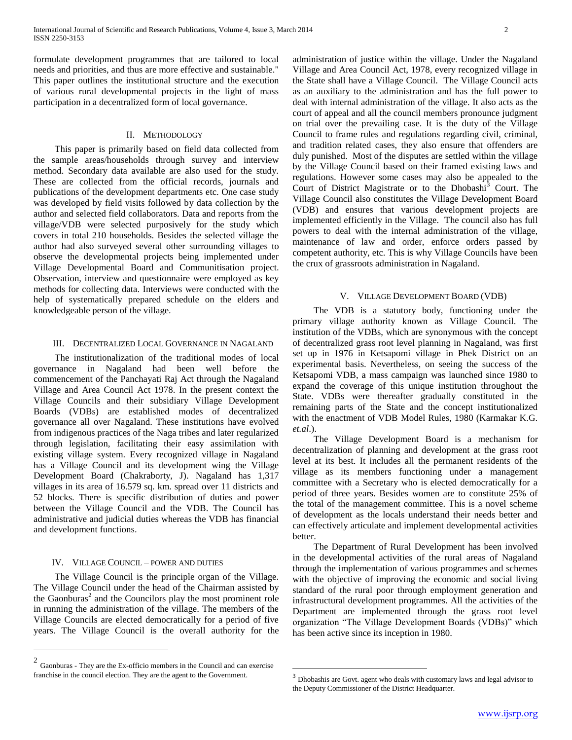formulate development programmes that are tailored to local needs and priorities, and thus are more effective and sustainable." This paper outlines the institutional structure and the execution of various rural developmental projects in the light of mass participation in a decentralized form of local governance.

#### II. METHODOLOGY

 This paper is primarily based on field data collected from the sample areas/households through survey and interview method. Secondary data available are also used for the study. These are collected from the official records, journals and publications of the development departments etc. One case study was developed by field visits followed by data collection by the author and selected field collaborators. Data and reports from the village/VDB were selected purposively for the study which covers in total 210 households. Besides the selected village the author had also surveyed several other surrounding villages to observe the developmental projects being implemented under Village Developmental Board and Communitisation project. Observation, interview and questionnaire were employed as key methods for collecting data. Interviews were conducted with the help of systematically prepared schedule on the elders and knowledgeable person of the village.

#### III. DECENTRALIZED LOCAL GOVERNANCE IN NAGALAND

 The institutionalization of the traditional modes of local governance in Nagaland had been well before the commencement of the Panchayati Raj Act through the Nagaland Village and Area Council Act 1978. In the present context the Village Councils and their subsidiary Village Development Boards (VDBs) are established modes of decentralized governance all over Nagaland. These institutions have evolved from indigenous practices of the Naga tribes and later regularized through legislation, facilitating their easy assimilation with existing village system. Every recognized village in Nagaland has a Village Council and its development wing the Village Development Board (Chakraborty, J). Nagaland has 1,317 villages in its area of 16.579 sq. km. spread over 11 districts and 52 blocks. There is specific distribution of duties and power between the Village Council and the VDB. The Council has administrative and judicial duties whereas the VDB has financial and development functions.

### IV. VILLAGE COUNCIL – POWER AND DUTIES

 $\overline{a}$ 

 The Village Council is the principle organ of the Village. The Village Council under the head of the Chairman assisted by the Gaonburas<sup>2</sup> and the Councilors play the most prominent role in running the administration of the village. The members of the Village Councils are elected democratically for a period of five years. The Village Council is the overall authority for the

administration of justice within the village. Under the Nagaland Village and Area Council Act, 1978, every recognized village in the State shall have a Village Council. The Village Council acts as an auxiliary to the administration and has the full power to deal with internal administration of the village. It also acts as the court of appeal and all the council members pronounce judgment on trial over the prevailing case. It is the duty of the Village Council to frame rules and regulations regarding civil, criminal, and tradition related cases, they also ensure that offenders are duly punished. Most of the disputes are settled within the village by the Village Council based on their framed existing laws and regulations. However some cases may also be appealed to the Court of District Magistrate or to the Dhobashi<sup>3</sup> Court. The Village Council also constitutes the Village Development Board (VDB) and ensures that various development projects are implemented efficiently in the Village. The council also has full powers to deal with the internal administration of the village, maintenance of law and order, enforce orders passed by competent authority, etc. This is why Village Councils have been the crux of grassroots administration in Nagaland.

#### V. VILLAGE DEVELOPMENT BOARD (VDB)

 The VDB is a statutory body, functioning under the primary village authority known as Village Council. The institution of the VDBs, which are synonymous with the concept of decentralized grass root level planning in Nagaland, was first set up in 1976 in Ketsapomi village in Phek District on an experimental basis. Nevertheless, on seeing the success of the Ketsapomi VDB, a mass campaign was launched since 1980 to expand the coverage of this unique institution throughout the State. VDBs were thereafter gradually constituted in the remaining parts of the State and the concept institutionalized with the enactment of VDB Model Rules, 1980 (Karmakar K.G. *et.al*.).

 The Village Development Board is a mechanism for decentralization of planning and development at the grass root level at its best. It includes all the permanent residents of the village as its members functioning under a management committee with a Secretary who is elected democratically for a period of three years. Besides women are to constitute 25% of the total of the management committee. This is a novel scheme of development as the locals understand their needs better and can effectively articulate and implement developmental activities better.

 The Department of Rural Development has been involved in the developmental activities of the rural areas of Nagaland through the implementation of various programmes and schemes with the objective of improving the economic and social living standard of the rural poor through employment generation and infrastructural development programmes. All the activities of the Department are implemented through the grass root level organization "The Village Development Boards (VDBs)" which has been active since its inception in 1980.

 $\overline{a}$ 

<sup>2</sup> Gaonburas - They are the Ex-officio members in the Council and can exercise franchise in the council election. They are the agent to the Government.

 $3$  Dhobashis are Govt. agent who deals with customary laws and legal advisor to the Deputy Commissioner of the District Headquarter.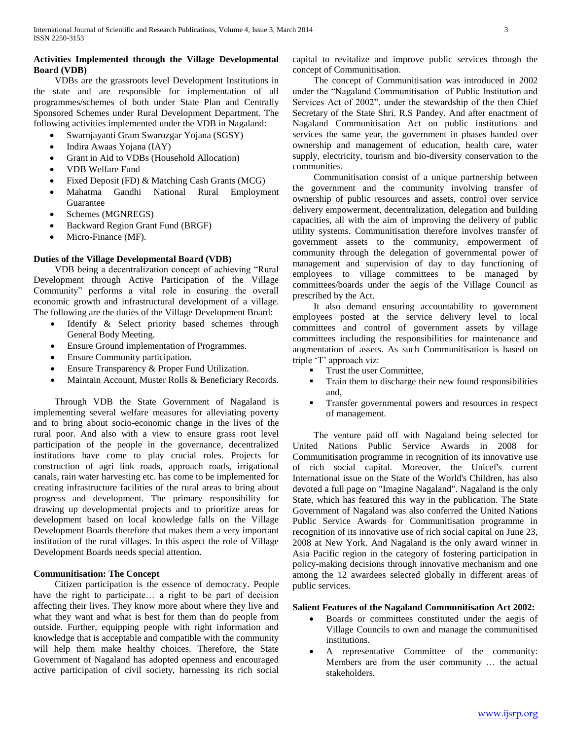# **Activities Implemented through the Village Developmental Board (VDB)**

 VDBs are the grassroots level Development Institutions in the state and are responsible for implementation of all programmes/schemes of both under State Plan and Centrally Sponsored Schemes under Rural Development Department. The following activities implemented under the VDB in Nagaland:

- Swarnjayanti Gram Swarozgar Yojana (SGSY)
- Indira Awaas Yojana (IAY)
- Grant in Aid to VDBs (Household Allocation)
- VDB Welfare Fund
- Fixed Deposit (FD) & Matching Cash Grants (MCG)
- Mahatma Gandhi National Rural Employment Guarantee
- Schemes (MGNREGS)
- Backward Region Grant Fund (BRGF)
- Micro-Finance (MF).

# **Duties of the Village Developmental Board (VDB)**

 VDB being a decentralization concept of achieving "Rural Development through Active Participation of the Village Community" performs a vital role in ensuring the overall economic growth and infrastructural development of a village. The following are the duties of the Village Development Board:

- Identify & Select priority based schemes through General Body Meeting.
- Ensure Ground implementation of Programmes.
- Ensure Community participation.
- Ensure Transparency & Proper Fund Utilization.
- Maintain Account, Muster Rolls & Beneficiary Records.

 Through VDB the State Government of Nagaland is implementing several welfare measures for alleviating poverty and to bring about socio-economic change in the lives of the rural poor. And also with a view to ensure grass root level participation of the people in the governance, decentralized institutions have come to play crucial roles. Projects for construction of agri link roads, approach roads, irrigational canals, rain water harvesting etc. has come to be implemented for creating infrastructure facilities of the rural areas to bring about progress and development. The primary responsibility for drawing up developmental projects and to prioritize areas for development based on local knowledge falls on the Village Development Boards therefore that makes them a very important institution of the rural villages. In this aspect the role of Village Development Boards needs special attention.

# **Communitisation: The Concept**

 Citizen participation is the essence of democracy. People have the right to participate… a right to be part of decision affecting their lives. They know more about where they live and what they want and what is best for them than do people from outside. Further, equipping people with right information and knowledge that is acceptable and compatible with the community will help them make healthy choices. Therefore, the State Government of Nagaland has adopted openness and encouraged active participation of civil society, harnessing its rich social capital to revitalize and improve public services through the concept of Communitisation.

 The concept of Communitisation was introduced in 2002 under the "Nagaland Communitisation of Public Institution and Services Act of 2002", under the stewardship of the then Chief Secretary of the State Shri. R.S Pandey. And after enactment of Nagaland Communitisation Act on public institutions and services the same year, the government in phases handed over ownership and management of education, health care, water supply, electricity, tourism and bio-diversity conservation to the communities.

 Communitisation consist of a unique partnership between the government and the community involving transfer of ownership of public resources and assets, control over service delivery empowerment, decentralization, delegation and building capacities, all with the aim of improving the delivery of public utility systems. Communitisation therefore involves transfer of government assets to the community, empowerment of community through the delegation of governmental power of management and supervision of day to day functioning of employees to village committees to be managed by committees/boards under the aegis of the Village Council as prescribed by the Act.

 It also demand ensuring accountability to government employees posted at the service delivery level to local committees and control of government assets by village committees including the responsibilities for maintenance and augmentation of assets. As such Communitisation is based on triple "T" approach viz:

- Trust the user Committee,
- Train them to discharge their new found responsibilities and,
- Transfer governmental powers and resources in respect of management.

 The venture paid off with Nagaland being selected for United Nations Public Service Awards in 2008 for Communitisation programme in recognition of its innovative use of rich social capital. Moreover, the Unicef's current International issue on the State of the World's Children, has also devoted a full page on "Imagine Nagaland". Nagaland is the only State, which has featured this way in the publication. The State Government of Nagaland was also conferred the United Nations Public Service Awards for Communitisation programme in recognition of its innovative use of rich social capital on June 23, 2008 at New York. And Nagaland is the only award winner in Asia Pacific region in the category of fostering participation in policy-making decisions through innovative mechanism and one among the 12 awardees selected globally in different areas of public services.

# **Salient Features of the Nagaland Communitisation Act 2002:**

- Boards or committees constituted under the aegis of Village Councils to own and manage the communitised institutions.
- A representative Committee of the community: Members are from the user community … the actual stakeholders.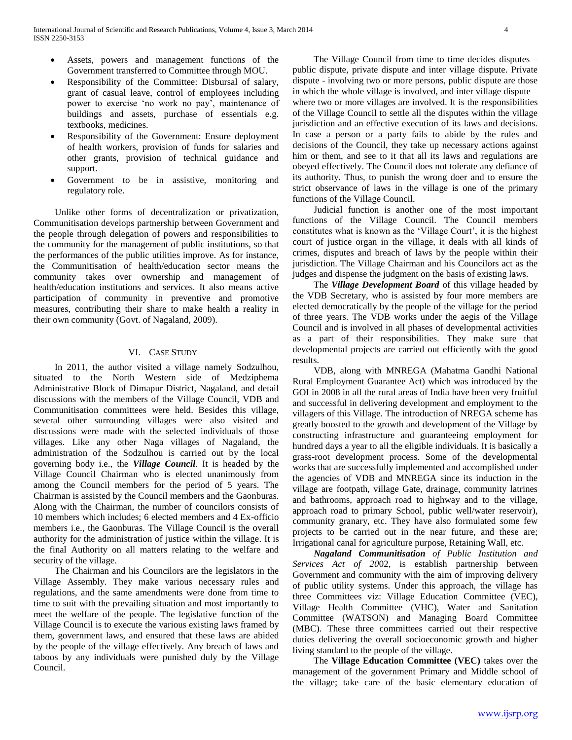- Assets, powers and management functions of the Government transferred to Committee through MOU.
- Responsibility of the Committee: Disbursal of salary, grant of casual leave, control of employees including power to exercise 'no work no pay', maintenance of buildings and assets, purchase of essentials e.g. textbooks, medicines.
- Responsibility of the Government: Ensure deployment of health workers, provision of funds for salaries and other grants, provision of technical guidance and support.
- Government to be in assistive, monitoring and regulatory role.

 Unlike other forms of decentralization or privatization, Communitisation develops partnership between Government and the people through delegation of powers and responsibilities to the community for the management of public institutions, so that the performances of the public utilities improve. As for instance, the Communitisation of health/education sector means the community takes over ownership and management of health/education institutions and services. It also means active participation of community in preventive and promotive measures, contributing their share to make health a reality in their own community (Govt. of Nagaland, 2009).

# VI. CASE STUDY

 In 2011, the author visited a village namely Sodzulhou, situated to the North Western side of Medziphema Administrative Block of Dimapur District, Nagaland, and detail discussions with the members of the Village Council, VDB and Communitisation committees were held. Besides this village, several other surrounding villages were also visited and discussions were made with the selected individuals of those villages. Like any other Naga villages of Nagaland, the administration of the Sodzulhou is carried out by the local governing body i.e., the *Village Council*. It is headed by the Village Council Chairman who is elected unanimously from among the Council members for the period of 5 years. The Chairman is assisted by the Council members and the Gaonburas. Along with the Chairman, the number of councilors consists of 10 members which includes; 6 elected members and 4 Ex-officio members i.e., the Gaonburas. The Village Council is the overall authority for the administration of justice within the village. It is the final Authority on all matters relating to the welfare and security of the village.

 The Chairman and his Councilors are the legislators in the Village Assembly. They make various necessary rules and regulations, and the same amendments were done from time to time to suit with the prevailing situation and most importantly to meet the welfare of the people. The legislative function of the Village Council is to execute the various existing laws framed by them, government laws, and ensured that these laws are abided by the people of the village effectively. Any breach of laws and taboos by any individuals were punished duly by the Village Council.

 The Village Council from time to time decides disputes – public dispute, private dispute and inter village dispute. Private dispute - involving two or more persons, public dispute are those in which the whole village is involved, and inter village dispute – where two or more villages are involved. It is the responsibilities of the Village Council to settle all the disputes within the village jurisdiction and an effective execution of its laws and decisions. In case a person or a party fails to abide by the rules and decisions of the Council, they take up necessary actions against him or them, and see to it that all its laws and regulations are obeyed effectively. The Council does not tolerate any defiance of its authority. Thus, to punish the wrong doer and to ensure the strict observance of laws in the village is one of the primary functions of the Village Council.

 Judicial function is another one of the most important functions of the Village Council. The Council members constitutes what is known as the 'Village Court', it is the highest court of justice organ in the village, it deals with all kinds of crimes, disputes and breach of laws by the people within their jurisdiction. The Village Chairman and his Councilors act as the judges and dispense the judgment on the basis of existing laws.

 The *Village Development Board* of this village headed by the VDB Secretary, who is assisted by four more members are elected democratically by the people of the village for the period of three years. The VDB works under the aegis of the Village Council and is involved in all phases of developmental activities as a part of their responsibilities. They make sure that developmental projects are carried out efficiently with the good results.

 VDB, along with MNREGA (Mahatma Gandhi National Rural Employment Guarantee Act) which was introduced by the GOI in 2008 in all the rural areas of India have been very fruitful and successful in delivering development and employment to the villagers of this Village. The introduction of NREGA scheme has greatly boosted to the growth and development of the Village by constructing infrastructure and guaranteeing employment for hundred days a year to all the eligible individuals. It is basically a grass-root development process. Some of the developmental works that are successfully implemented and accomplished under the agencies of VDB and MNREGA since its induction in the village are footpath, village Gate, drainage, community latrines and bathrooms, approach road to highway and to the village, approach road to primary School, public well/water reservoir), community granary, etc. They have also formulated some few projects to be carried out in the near future, and these are; Irrigational canal for agriculture purpose, Retaining Wall, etc.

 *Nagaland Communitisation of Public Institution and Services Act of 20*02, is establish partnership between Government and community with the aim of improving delivery of public utility systems. Under this approach, the village has three Committees viz: Village Education Committee (VEC), Village Health Committee (VHC), Water and Sanitation Committee (WATSON) and Managing Board Committee (MBC). These three committees carried out their respective duties delivering the overall socioeconomic growth and higher living standard to the people of the village.

 The **Village Education Committee (VEC)** takes over the management of the government Primary and Middle school of the village; take care of the basic elementary education of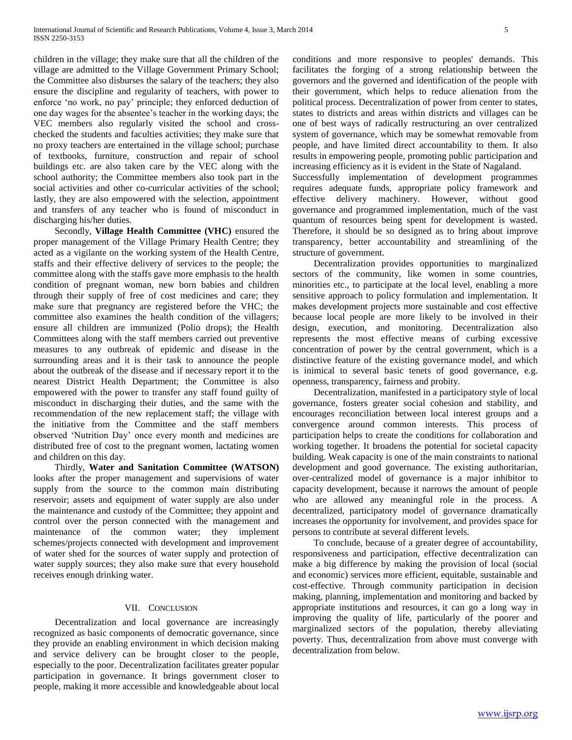children in the village; they make sure that all the children of the village are admitted to the Village Government Primary School; the Committee also disburses the salary of the teachers; they also ensure the discipline and regularity of teachers, with power to enforce "no work, no pay" principle; they enforced deduction of one day wages for the absentee"s teacher in the working days; the VEC members also regularly visited the school and crosschecked the students and faculties activities; they make sure that no proxy teachers are entertained in the village school; purchase of textbooks, furniture, construction and repair of school buildings etc. are also taken care by the VEC along with the school authority; the Committee members also took part in the social activities and other co-curricular activities of the school; lastly, they are also empowered with the selection, appointment and transfers of any teacher who is found of misconduct in discharging his/her duties.

 Secondly, **Village Health Committee (VHC)** ensured the proper management of the Village Primary Health Centre; they acted as a vigilante on the working system of the Health Centre, staffs and their effective delivery of services to the people; the committee along with the staffs gave more emphasis to the health condition of pregnant woman, new born babies and children through their supply of free of cost medicines and care; they make sure that pregnancy are registered before the VHC; the committee also examines the health condition of the villagers; ensure all children are immunized (Polio drops); the Health Committees along with the staff members carried out preventive measures to any outbreak of epidemic and disease in the surrounding areas and it is their task to announce the people about the outbreak of the disease and if necessary report it to the nearest District Health Department; the Committee is also empowered with the power to transfer any staff found guilty of misconduct in discharging their duties, and the same with the recommendation of the new replacement staff; the village with the initiative from the Committee and the staff members observed "Nutrition Day" once every month and medicines are distributed free of cost to the pregnant women, lactating women and children on this day.

 Thirdly, **Water and Sanitation Committee (WATSON)** looks after the proper management and supervisions of water supply from the source to the common main distributing reservoir; assets and equipment of water supply are also under the maintenance and custody of the Committee; they appoint and control over the person connected with the management and maintenance of the common water; they implement schemes/projects connected with development and improvement of water shed for the sources of water supply and protection of water supply sources; they also make sure that every household receives enough drinking water.

#### VII. CONCLUSION

 Decentralization and local governance are increasingly recognized as basic components of democratic governance, since they provide an enabling environment in which decision making and service delivery can be brought closer to the people, especially to the poor. Decentralization facilitates greater popular participation in governance. It brings government closer to people, making it more accessible and knowledgeable about local conditions and more responsive to peoples' demands. This facilitates the forging of a strong relationship between the governors and the governed and identification of the people with their government, which helps to reduce alienation from the political process. Decentralization of power from center to states, states to districts and areas within districts and villages can be one of best ways of radically restructuring an over centralized system of governance, which may be somewhat removable from people, and have limited direct accountability to them. It also results in empowering people, promoting public participation and increasing efficiency as it is evident in the State of Nagaland.

Successfully implementation of development programmes requires adequate funds, appropriate policy framework and effective delivery machinery. However, without good governance and programmed implementation, much of the vast quantum of resources being spent for development is wasted. Therefore, it should be so designed as to bring about improve transparency, better accountability and streamlining of the structure of government.

 Decentralization provides opportunities to marginalized sectors of the community, like women in some countries, minorities etc., to participate at the local level, enabling a more sensitive approach to policy formulation and implementation. It makes development projects more sustainable and cost effective because local people are more likely to be involved in their design, execution, and monitoring. Decentralization also represents the most effective means of curbing excessive concentration of power by the central government, which is a distinctive feature of the existing governance model, and which is inimical to several basic tenets of good governance, e.g. openness, transparency, fairness and probity.

 Decentralization, manifested in a participatory style of local governance, fosters greater social cohesion and stability, and encourages reconciliation between local interest groups and a convergence around common interests. This process of participation helps to create the conditions for collaboration and working together. It broadens the potential for societal capacity building. Weak capacity is one of the main constraints to national development and good governance. The existing authoritarian, over-centralized model of governance is a major inhibitor to capacity development, because it narrows the amount of people who are allowed any meaningful role in the process. A decentralized, participatory model of governance dramatically increases the opportunity for involvement, and provides space for persons to contribute at several different levels.

 To conclude, because of a greater degree of accountability, responsiveness and participation, effective decentralization can make a big difference by making the provision of local (social and economic) services more efficient, equitable, sustainable and cost-effective. Through community participation in decision making, planning, implementation and monitoring and backed by appropriate institutions and resources, it can go a long way in improving the quality of life, particularly of the poorer and marginalized sectors of the population, thereby alleviating poverty. Thus, decentralization from above must converge with decentralization from below.